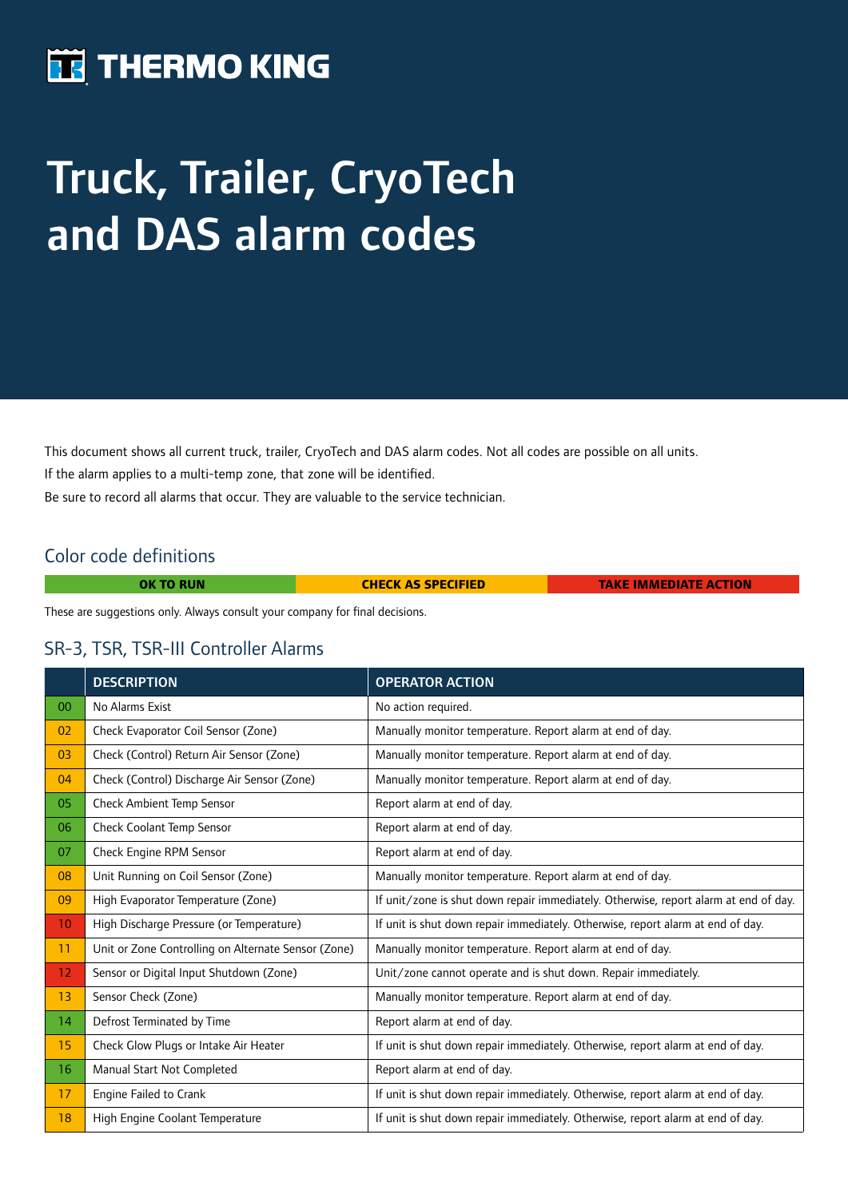## **THERMO KING**

# Truck, Trailer, CryoTech and DAS alarm codes

This document shows all current truck, trailer, CryoTech and DAS alarm codes. Not all codes are possible on all units. If the alarm applies to a multi-temp zone, that zone will be identified. Be sure to record all alarms that occur. They are valuable to the service technician.

#### Color code definitions

Г

| <b>OK TO RUN</b> | <b>CHECK AS SPECIFIED</b> | <b>TAKE IMMEDIATE ACTION</b> |
|------------------|---------------------------|------------------------------|
|                  |                           |                              |

These are suggestions only. Always consult your company for final decisions.

#### SR-3, TSR, TSR-III Controller Alarms

|                 | <b>DESCRIPTION</b>                                  | <b>OPERATOR ACTION</b>                                                               |  |
|-----------------|-----------------------------------------------------|--------------------------------------------------------------------------------------|--|
| 00 <sup>°</sup> | No Alarms Exist                                     | No action required.                                                                  |  |
| 02              | Check Evaporator Coil Sensor (Zone)                 | Manually monitor temperature. Report alarm at end of day.                            |  |
| 03              | Check (Control) Return Air Sensor (Zone)            | Manually monitor temperature. Report alarm at end of day.                            |  |
| 04              | Check (Control) Discharge Air Sensor (Zone)         | Manually monitor temperature. Report alarm at end of day.                            |  |
| 05              | Check Ambient Temp Sensor                           | Report alarm at end of day.                                                          |  |
| 06              | Check Coolant Temp Sensor                           | Report alarm at end of day.                                                          |  |
| 07              | Check Engine RPM Sensor                             | Report alarm at end of day.                                                          |  |
| 08              | Unit Running on Coil Sensor (Zone)                  | Manually monitor temperature. Report alarm at end of day.                            |  |
| 09              | High Evaporator Temperature (Zone)                  | If unit/zone is shut down repair immediately. Otherwise, report alarm at end of day. |  |
| 10 <sup>°</sup> | High Discharge Pressure (or Temperature)            | If unit is shut down repair immediately. Otherwise, report alarm at end of day.      |  |
| 11              | Unit or Zone Controlling on Alternate Sensor (Zone) | Manually monitor temperature. Report alarm at end of day.                            |  |
| 12              | Sensor or Digital Input Shutdown (Zone)             | Unit/zone cannot operate and is shut down. Repair immediately.                       |  |
| 13              | Sensor Check (Zone)                                 | Manually monitor temperature. Report alarm at end of day.                            |  |
| 14              | Defrost Terminated by Time                          | Report alarm at end of day.                                                          |  |
| 15              | Check Glow Plugs or Intake Air Heater               | If unit is shut down repair immediately. Otherwise, report alarm at end of day.      |  |
| 16              | Manual Start Not Completed                          | Report alarm at end of day.                                                          |  |
| 17              | Engine Failed to Crank                              | If unit is shut down repair immediately. Otherwise, report alarm at end of day.      |  |
| 18              | High Engine Coolant Temperature                     | If unit is shut down repair immediately. Otherwise, report alarm at end of day.      |  |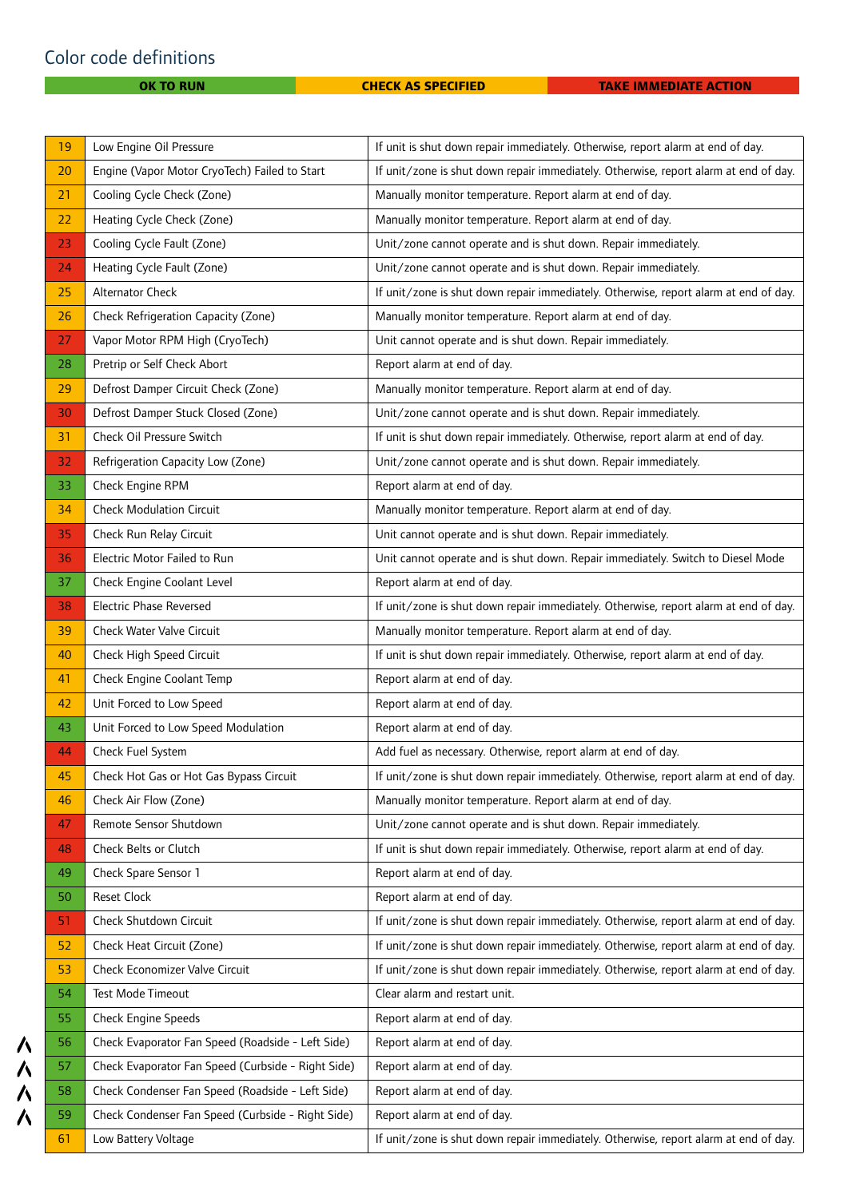### Color code definitions

ハハハハ

| 19 | Low Engine Oil Pressure                            | If unit is shut down repair immediately. Otherwise, report alarm at end of day.      |  |
|----|----------------------------------------------------|--------------------------------------------------------------------------------------|--|
| 20 | Engine (Vapor Motor CryoTech) Failed to Start      | If unit/zone is shut down repair immediately. Otherwise, report alarm at end of day. |  |
| 21 | Cooling Cycle Check (Zone)                         | Manually monitor temperature. Report alarm at end of day.                            |  |
| 22 | Heating Cycle Check (Zone)                         | Manually monitor temperature. Report alarm at end of day.                            |  |
| 23 | Cooling Cycle Fault (Zone)                         | Unit/zone cannot operate and is shut down. Repair immediately.                       |  |
| 24 | Heating Cycle Fault (Zone)                         | Unit/zone cannot operate and is shut down. Repair immediately.                       |  |
| 25 | Alternator Check                                   | If unit/zone is shut down repair immediately. Otherwise, report alarm at end of day. |  |
| 26 | Check Refrigeration Capacity (Zone)                | Manually monitor temperature. Report alarm at end of day.                            |  |
| 27 | Vapor Motor RPM High (CryoTech)                    | Unit cannot operate and is shut down. Repair immediately.                            |  |
| 28 | Pretrip or Self Check Abort                        | Report alarm at end of day.                                                          |  |
| 29 | Defrost Damper Circuit Check (Zone)                | Manually monitor temperature. Report alarm at end of day.                            |  |
| 30 | Defrost Damper Stuck Closed (Zone)                 | Unit/zone cannot operate and is shut down. Repair immediately.                       |  |
| 31 | Check Oil Pressure Switch                          | If unit is shut down repair immediately. Otherwise, report alarm at end of day.      |  |
| 32 | Refrigeration Capacity Low (Zone)                  | Unit/zone cannot operate and is shut down. Repair immediately.                       |  |
| 33 | Check Engine RPM                                   | Report alarm at end of day.                                                          |  |
| 34 | <b>Check Modulation Circuit</b>                    | Manually monitor temperature. Report alarm at end of day.                            |  |
| 35 | Check Run Relay Circuit                            | Unit cannot operate and is shut down. Repair immediately.                            |  |
| 36 | Electric Motor Failed to Run                       | Unit cannot operate and is shut down. Repair immediately. Switch to Diesel Mode      |  |
| 37 | Check Engine Coolant Level                         | Report alarm at end of day.                                                          |  |
| 38 | Electric Phase Reversed                            | If unit/zone is shut down repair immediately. Otherwise, report alarm at end of day. |  |
| 39 | Check Water Valve Circuit                          | Manually monitor temperature. Report alarm at end of day.                            |  |
| 40 | Check High Speed Circuit                           | If unit is shut down repair immediately. Otherwise, report alarm at end of day.      |  |
| 41 | Check Engine Coolant Temp                          | Report alarm at end of day.                                                          |  |
| 42 | Unit Forced to Low Speed                           | Report alarm at end of day.                                                          |  |
| 43 | Unit Forced to Low Speed Modulation                | Report alarm at end of day.                                                          |  |
| 44 | Check Fuel System                                  | Add fuel as necessary. Otherwise, report alarm at end of day.                        |  |
| 45 | Check Hot Gas or Hot Gas Bypass Circuit            | If unit/zone is shut down repair immediately. Otherwise, report alarm at end of day. |  |
| 46 | Check Air Flow (Zone)                              | Manually monitor temperature. Report alarm at end of day.                            |  |
| 47 | Remote Sensor Shutdown                             | Unit/zone cannot operate and is shut down. Repair immediately.                       |  |
| 48 | Check Belts or Clutch                              | If unit is shut down repair immediately. Otherwise, report alarm at end of day.      |  |
| 49 | Check Spare Sensor 1                               | Report alarm at end of day.                                                          |  |
| 50 | Reset Clock                                        | Report alarm at end of day.                                                          |  |
| 51 | Check Shutdown Circuit                             | If unit/zone is shut down repair immediately. Otherwise, report alarm at end of day. |  |
| 52 | Check Heat Circuit (Zone)                          | If unit/zone is shut down repair immediately. Otherwise, report alarm at end of day. |  |
| 53 | Check Economizer Valve Circuit                     | If unit/zone is shut down repair immediately. Otherwise, report alarm at end of day. |  |
| 54 | Test Mode Timeout                                  | Clear alarm and restart unit.                                                        |  |
| 55 | Check Engine Speeds                                | Report alarm at end of day.                                                          |  |
| 56 | Check Evaporator Fan Speed (Roadside - Left Side)  | Report alarm at end of day.                                                          |  |
| 57 | Check Evaporator Fan Speed (Curbside - Right Side) | Report alarm at end of day.                                                          |  |
| 58 | Check Condenser Fan Speed (Roadside - Left Side)   | Report alarm at end of day.                                                          |  |
| 59 | Check Condenser Fan Speed (Curbside - Right Side)  | Report alarm at end of day.                                                          |  |
| 61 | Low Battery Voltage                                | If unit/zone is shut down repair immediately. Otherwise, report alarm at end of day. |  |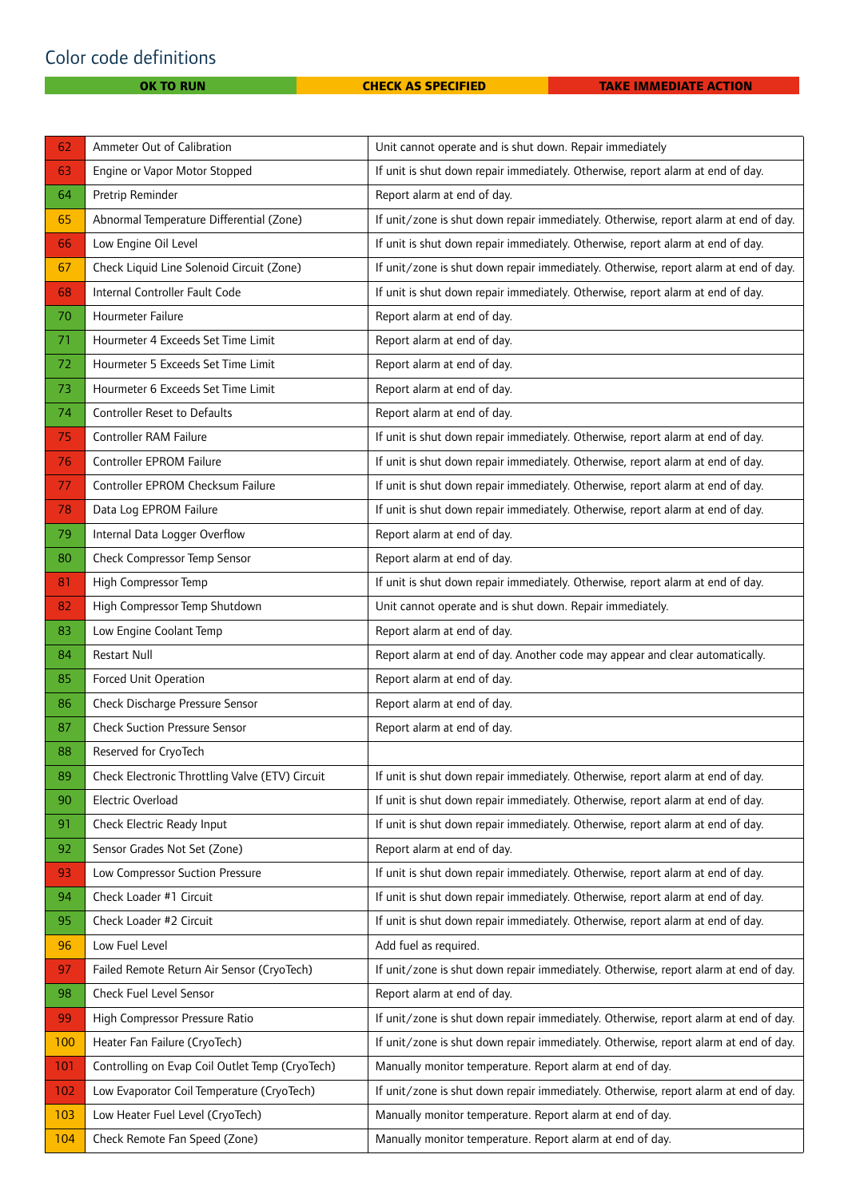| 62  | Ammeter Out of Calibration                      | Unit cannot operate and is shut down. Repair immediately                             |  |
|-----|-------------------------------------------------|--------------------------------------------------------------------------------------|--|
| 63  | Engine or Vapor Motor Stopped                   | If unit is shut down repair immediately. Otherwise, report alarm at end of day.      |  |
| 64  | Pretrip Reminder                                | Report alarm at end of day.                                                          |  |
| 65  | Abnormal Temperature Differential (Zone)        | If unit/zone is shut down repair immediately. Otherwise, report alarm at end of day. |  |
| 66  | Low Engine Oil Level                            | If unit is shut down repair immediately. Otherwise, report alarm at end of day.      |  |
| 67  | Check Liquid Line Solenoid Circuit (Zone)       | If unit/zone is shut down repair immediately. Otherwise, report alarm at end of day. |  |
| 68  | Internal Controller Fault Code                  | If unit is shut down repair immediately. Otherwise, report alarm at end of day.      |  |
| 70  | Hourmeter Failure                               | Report alarm at end of day.                                                          |  |
| 71  | Hourmeter 4 Exceeds Set Time Limit              | Report alarm at end of day.                                                          |  |
| 72  | Hourmeter 5 Exceeds Set Time Limit              | Report alarm at end of day.                                                          |  |
| 73  | Hourmeter 6 Exceeds Set Time Limit              | Report alarm at end of day.                                                          |  |
| 74  | <b>Controller Reset to Defaults</b>             | Report alarm at end of day.                                                          |  |
| 75  | Controller RAM Failure                          | If unit is shut down repair immediately. Otherwise, report alarm at end of day.      |  |
| 76  | Controller EPROM Failure                        | If unit is shut down repair immediately. Otherwise, report alarm at end of day.      |  |
| 77  | Controller EPROM Checksum Failure               | If unit is shut down repair immediately. Otherwise, report alarm at end of day.      |  |
| 78  | Data Log EPROM Failure                          | If unit is shut down repair immediately. Otherwise, report alarm at end of day.      |  |
| 79  | Internal Data Logger Overflow                   | Report alarm at end of day.                                                          |  |
| 80  | Check Compressor Temp Sensor                    | Report alarm at end of day.                                                          |  |
| 81  | High Compressor Temp                            | If unit is shut down repair immediately. Otherwise, report alarm at end of day.      |  |
| 82  | High Compressor Temp Shutdown                   | Unit cannot operate and is shut down. Repair immediately.                            |  |
| 83  | Low Engine Coolant Temp                         | Report alarm at end of day.                                                          |  |
| 84  | <b>Restart Null</b>                             | Report alarm at end of day. Another code may appear and clear automatically.         |  |
| 85  | Forced Unit Operation                           | Report alarm at end of day.                                                          |  |
|     |                                                 |                                                                                      |  |
| 86  | Check Discharge Pressure Sensor                 | Report alarm at end of day.                                                          |  |
| 87  | <b>Check Suction Pressure Sensor</b>            | Report alarm at end of day.                                                          |  |
| 88  | Reserved for CryoTech                           |                                                                                      |  |
| 89  | Check Electronic Throttling Valve (ETV) Circuit | If unit is shut down repair immediately. Otherwise, report alarm at end of day.      |  |
| 90  | Electric Overload                               | If unit is shut down repair immediately. Otherwise, report alarm at end of day.      |  |
| 91  | Check Electric Ready Input                      | If unit is shut down repair immediately. Otherwise, report alarm at end of day.      |  |
| 92  | Sensor Grades Not Set (Zone)                    | Report alarm at end of day.                                                          |  |
| 93  | Low Compressor Suction Pressure                 | If unit is shut down repair immediately. Otherwise, report alarm at end of day.      |  |
| 94  | Check Loader #1 Circuit                         | If unit is shut down repair immediately. Otherwise, report alarm at end of day.      |  |
| 95  | Check Loader #2 Circuit                         | If unit is shut down repair immediately. Otherwise, report alarm at end of day.      |  |
| 96  | Low Fuel Level                                  | Add fuel as required.                                                                |  |
| 97  | Failed Remote Return Air Sensor (CryoTech)      | If unit/zone is shut down repair immediately. Otherwise, report alarm at end of day. |  |
| 98  | Check Fuel Level Sensor                         | Report alarm at end of day.                                                          |  |
| 99  | High Compressor Pressure Ratio                  | If unit/zone is shut down repair immediately. Otherwise, report alarm at end of day. |  |
| 100 | Heater Fan Failure (CryoTech)                   | If unit/zone is shut down repair immediately. Otherwise, report alarm at end of day. |  |
| 101 | Controlling on Evap Coil Outlet Temp (CryoTech) | Manually monitor temperature. Report alarm at end of day.                            |  |
| 102 | Low Evaporator Coil Temperature (CryoTech)      | If unit/zone is shut down repair immediately. Otherwise, report alarm at end of day. |  |
| 103 | Low Heater Fuel Level (CryoTech)                | Manually monitor temperature. Report alarm at end of day.                            |  |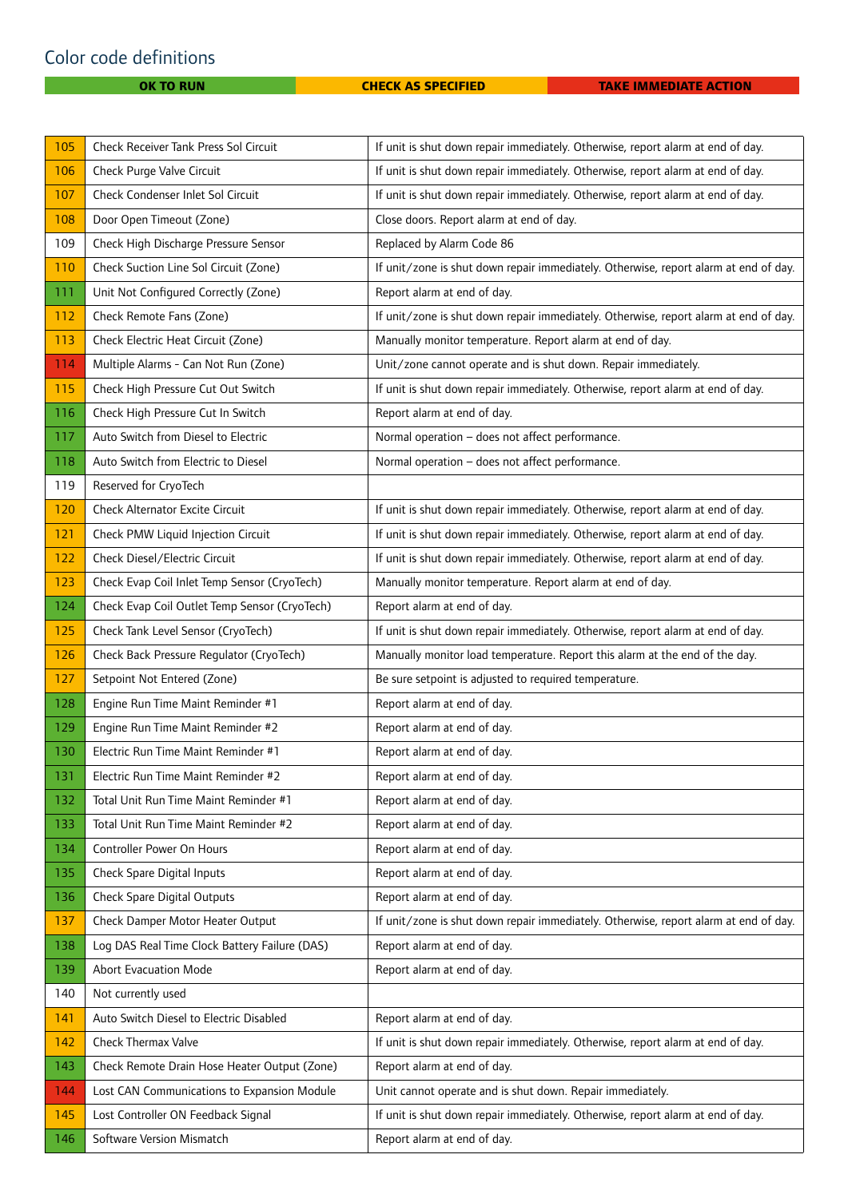### Color code definitions

| 105 | Check Receiver Tank Press Sol Circuit         | If unit is shut down repair immediately. Otherwise, report alarm at end of day.      |  |
|-----|-----------------------------------------------|--------------------------------------------------------------------------------------|--|
| 106 | Check Purge Valve Circuit                     | If unit is shut down repair immediately. Otherwise, report alarm at end of day.      |  |
| 107 | Check Condenser Inlet Sol Circuit             | If unit is shut down repair immediately. Otherwise, report alarm at end of day.      |  |
| 108 | Door Open Timeout (Zone)                      | Close doors. Report alarm at end of day.                                             |  |
| 109 | Check High Discharge Pressure Sensor          | Replaced by Alarm Code 86                                                            |  |
| 110 | Check Suction Line Sol Circuit (Zone)         | If unit/zone is shut down repair immediately. Otherwise, report alarm at end of day. |  |
| 111 | Unit Not Configured Correctly (Zone)          | Report alarm at end of day.                                                          |  |
| 112 | Check Remote Fans (Zone)                      | If unit/zone is shut down repair immediately. Otherwise, report alarm at end of day. |  |
| 113 | Check Electric Heat Circuit (Zone)            | Manually monitor temperature. Report alarm at end of day.                            |  |
| 114 | Multiple Alarms - Can Not Run (Zone)          | Unit/zone cannot operate and is shut down. Repair immediately.                       |  |
| 115 | Check High Pressure Cut Out Switch            | If unit is shut down repair immediately. Otherwise, report alarm at end of day.      |  |
| 116 | Check High Pressure Cut In Switch             | Report alarm at end of day.                                                          |  |
| 117 | Auto Switch from Diesel to Electric           | Normal operation - does not affect performance.                                      |  |
| 118 | Auto Switch from Electric to Diesel           | Normal operation - does not affect performance.                                      |  |
| 119 | Reserved for CryoTech                         |                                                                                      |  |
| 120 | <b>Check Alternator Excite Circuit</b>        | If unit is shut down repair immediately. Otherwise, report alarm at end of day.      |  |
| 121 | Check PMW Liquid Injection Circuit            | If unit is shut down repair immediately. Otherwise, report alarm at end of day.      |  |
| 122 | Check Diesel/Electric Circuit                 | If unit is shut down repair immediately. Otherwise, report alarm at end of day.      |  |
| 123 | Check Evap Coil Inlet Temp Sensor (CryoTech)  | Manually monitor temperature. Report alarm at end of day.                            |  |
| 124 | Check Evap Coil Outlet Temp Sensor (CryoTech) | Report alarm at end of day.                                                          |  |
| 125 | Check Tank Level Sensor (CryoTech)            | If unit is shut down repair immediately. Otherwise, report alarm at end of day.      |  |
| 126 | Check Back Pressure Regulator (CryoTech)      | Manually monitor load temperature. Report this alarm at the end of the day.          |  |
| 127 | Setpoint Not Entered (Zone)                   | Be sure setpoint is adjusted to required temperature.                                |  |
| 128 | Engine Run Time Maint Reminder #1             | Report alarm at end of day.                                                          |  |
| 129 | Engine Run Time Maint Reminder #2             | Report alarm at end of day.                                                          |  |
| 130 | Electric Run Time Maint Reminder #1           | Report alarm at end of day.                                                          |  |
| 131 | Electric Run Time Maint Reminder #2           | Report alarm at end of day.                                                          |  |
| 132 | Total Unit Run Time Maint Reminder #1         | Report alarm at end of day.                                                          |  |
| 133 | Total Unit Run Time Maint Reminder #2         | Report alarm at end of day.                                                          |  |
| 134 | Controller Power On Hours                     | Report alarm at end of day.                                                          |  |
| 135 | Check Spare Digital Inputs                    | Report alarm at end of day.                                                          |  |
| 136 | <b>Check Spare Digital Outputs</b>            | Report alarm at end of day.                                                          |  |
| 137 | Check Damper Motor Heater Output              | If unit/zone is shut down repair immediately. Otherwise, report alarm at end of day. |  |
| 138 | Log DAS Real Time Clock Battery Failure (DAS) | Report alarm at end of day.                                                          |  |
| 139 | <b>Abort Evacuation Mode</b>                  | Report alarm at end of day.                                                          |  |
| 140 | Not currently used                            |                                                                                      |  |
| 141 | Auto Switch Diesel to Electric Disabled       | Report alarm at end of day.                                                          |  |
| 142 | Check Thermax Valve                           | If unit is shut down repair immediately. Otherwise, report alarm at end of day.      |  |
| 143 | Check Remote Drain Hose Heater Output (Zone)  | Report alarm at end of day.                                                          |  |
| 144 | Lost CAN Communications to Expansion Module   | Unit cannot operate and is shut down. Repair immediately.                            |  |
| 145 | Lost Controller ON Feedback Signal            | If unit is shut down repair immediately. Otherwise, report alarm at end of day.      |  |
| 146 | Software Version Mismatch                     | Report alarm at end of day.                                                          |  |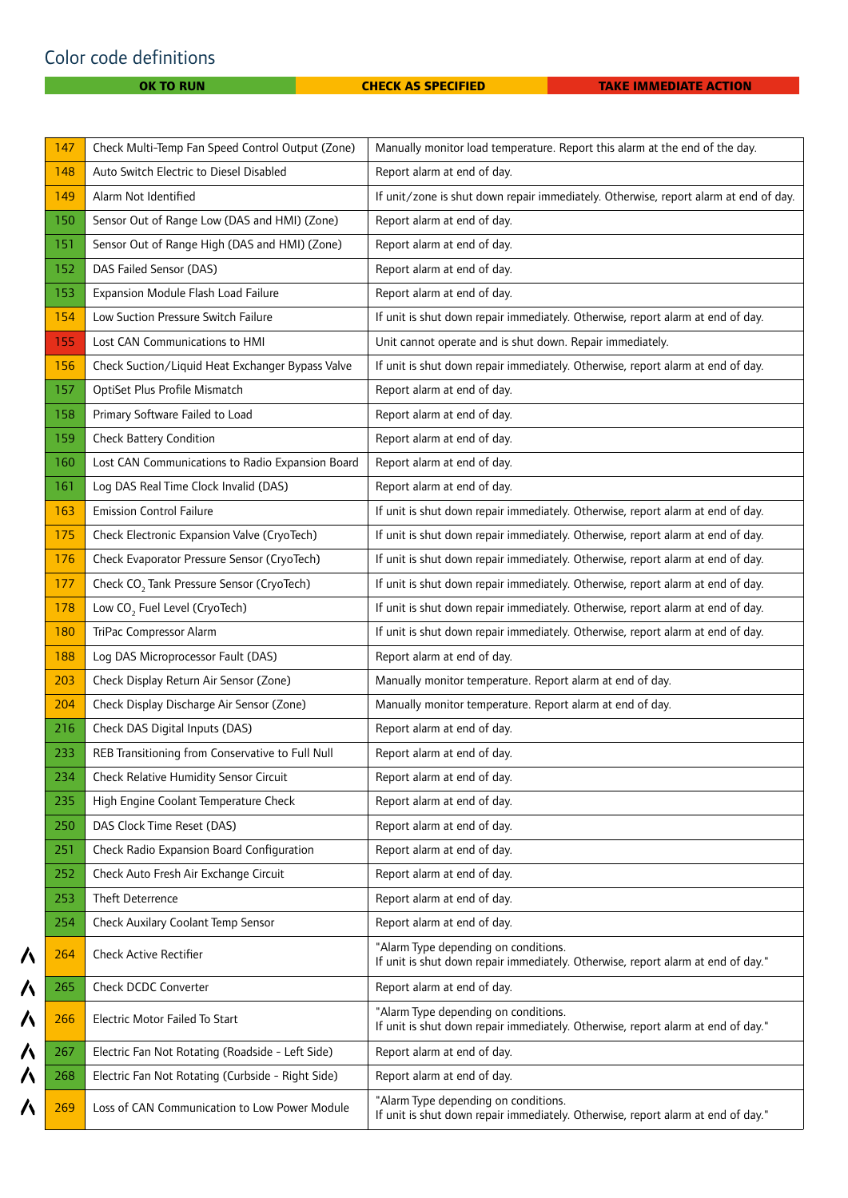$\lambda$ 

 $\overline{\mathbf{A}}$ 

 $\overline{\mathbf{A}}$ 

ハハ

 $\overline{\mathbf{A}}$ 

| 147 | Check Multi-Temp Fan Speed Control Output (Zone)      | Manually monitor load temperature. Report this alarm at the end of the day.                                              |  |
|-----|-------------------------------------------------------|--------------------------------------------------------------------------------------------------------------------------|--|
| 148 | Auto Switch Electric to Diesel Disabled               | Report alarm at end of day.                                                                                              |  |
| 149 | Alarm Not Identified                                  | If unit/zone is shut down repair immediately. Otherwise, report alarm at end of day.                                     |  |
| 150 | Sensor Out of Range Low (DAS and HMI) (Zone)          | Report alarm at end of day.                                                                                              |  |
| 151 | Sensor Out of Range High (DAS and HMI) (Zone)         | Report alarm at end of day.                                                                                              |  |
| 152 | DAS Failed Sensor (DAS)                               | Report alarm at end of day.                                                                                              |  |
| 153 | Expansion Module Flash Load Failure                   | Report alarm at end of day.                                                                                              |  |
| 154 | Low Suction Pressure Switch Failure                   | If unit is shut down repair immediately. Otherwise, report alarm at end of day.                                          |  |
| 155 | Lost CAN Communications to HMI                        | Unit cannot operate and is shut down. Repair immediately.                                                                |  |
| 156 | Check Suction/Liquid Heat Exchanger Bypass Valve      | If unit is shut down repair immediately. Otherwise, report alarm at end of day.                                          |  |
| 157 | OptiSet Plus Profile Mismatch                         | Report alarm at end of day.                                                                                              |  |
| 158 | Primary Software Failed to Load                       | Report alarm at end of day.                                                                                              |  |
| 159 | <b>Check Battery Condition</b>                        | Report alarm at end of day.                                                                                              |  |
| 160 | Lost CAN Communications to Radio Expansion Board      | Report alarm at end of day.                                                                                              |  |
| 161 | Log DAS Real Time Clock Invalid (DAS)                 | Report alarm at end of day.                                                                                              |  |
| 163 | <b>Emission Control Failure</b>                       | If unit is shut down repair immediately. Otherwise, report alarm at end of day.                                          |  |
| 175 | Check Electronic Expansion Valve (CryoTech)           | If unit is shut down repair immediately. Otherwise, report alarm at end of day.                                          |  |
| 176 | Check Evaporator Pressure Sensor (CryoTech)           | If unit is shut down repair immediately. Otherwise, report alarm at end of day.                                          |  |
| 177 | Check CO <sub>2</sub> Tank Pressure Sensor (CryoTech) | If unit is shut down repair immediately. Otherwise, report alarm at end of day.                                          |  |
| 178 | Low CO <sub>2</sub> Fuel Level (CryoTech)             | If unit is shut down repair immediately. Otherwise, report alarm at end of day.                                          |  |
| 180 | TriPac Compressor Alarm                               | If unit is shut down repair immediately. Otherwise, report alarm at end of day.                                          |  |
| 188 | Log DAS Microprocessor Fault (DAS)                    | Report alarm at end of day.                                                                                              |  |
| 203 | Check Display Return Air Sensor (Zone)                | Manually monitor temperature. Report alarm at end of day.                                                                |  |
| 204 | Check Display Discharge Air Sensor (Zone)             | Manually monitor temperature. Report alarm at end of day.                                                                |  |
| 216 | Check DAS Digital Inputs (DAS)                        | Report alarm at end of day.                                                                                              |  |
| 233 | REB Transitioning from Conservative to Full Null      | Report alarm at end of day.                                                                                              |  |
| 234 | Check Relative Humidity Sensor Circuit                | Report alarm at end of day.                                                                                              |  |
| 235 | High Engine Coolant Temperature Check                 | Report alarm at end of day.                                                                                              |  |
| 250 | DAS Clock Time Reset (DAS)                            | Report alarm at end of day.                                                                                              |  |
| 251 | Check Radio Expansion Board Configuration             | Report alarm at end of day.                                                                                              |  |
| 252 | Check Auto Fresh Air Exchange Circuit                 | Report alarm at end of day.                                                                                              |  |
| 253 | Theft Deterrence                                      | Report alarm at end of day.                                                                                              |  |
| 254 | Check Auxilary Coolant Temp Sensor                    | Report alarm at end of day.                                                                                              |  |
| 264 | <b>Check Active Rectifier</b>                         | "Alarm Type depending on conditions.<br>If unit is shut down repair immediately. Otherwise, report alarm at end of day." |  |
| 265 | Check DCDC Converter                                  | Report alarm at end of day.                                                                                              |  |
| 266 | Electric Motor Failed To Start                        | "Alarm Type depending on conditions.<br>If unit is shut down repair immediately. Otherwise, report alarm at end of day." |  |
| 267 | Electric Fan Not Rotating (Roadside - Left Side)      | Report alarm at end of day.                                                                                              |  |
| 268 | Electric Fan Not Rotating (Curbside - Right Side)     | Report alarm at end of day.                                                                                              |  |
| 269 | Loss of CAN Communication to Low Power Module         | "Alarm Type depending on conditions.<br>If unit is shut down repair immediately. Otherwise, report alarm at end of day." |  |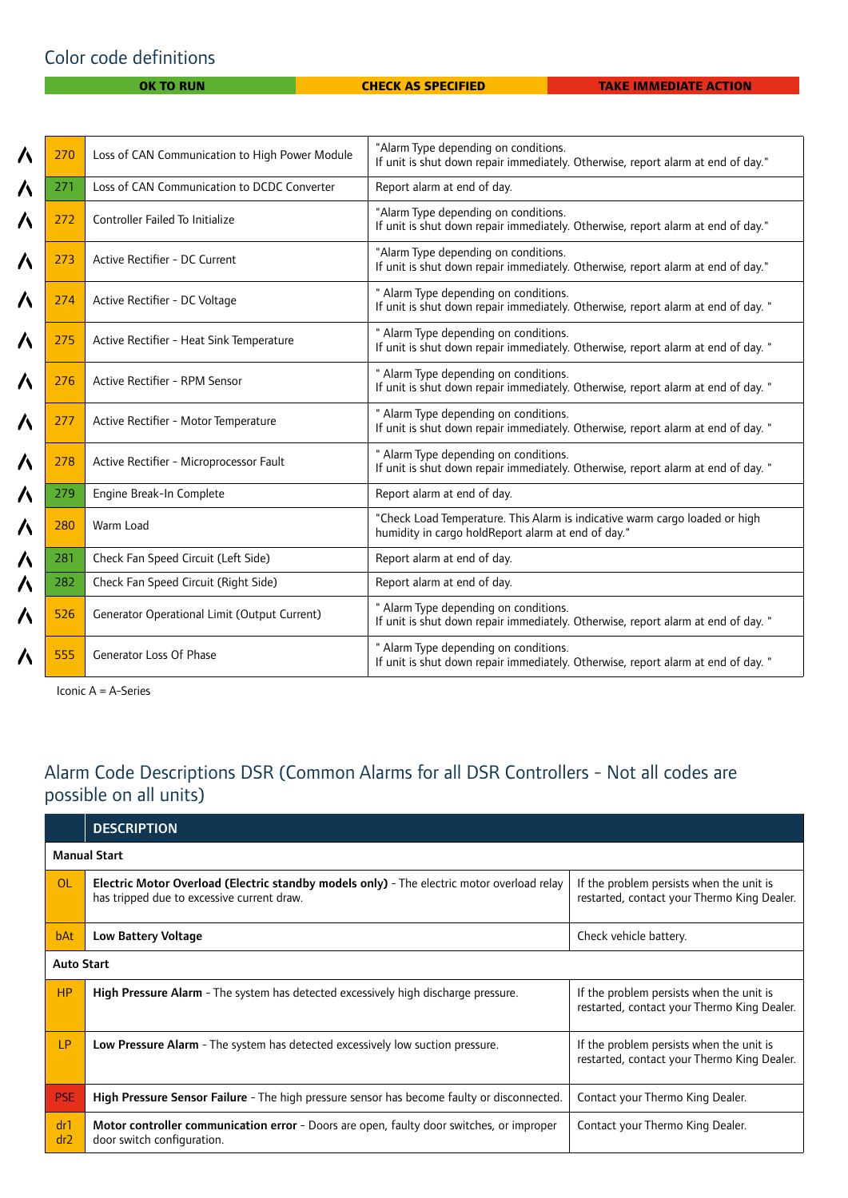#### Color code definitions

**OK TO RUN CHECK AS SPECIFIED TAKE IMMEDIATE ACTION** 

| Λ | 270 | Loss of CAN Communication to High Power Module | "Alarm Type depending on conditions.<br>If unit is shut down repair immediately. Otherwise, report alarm at end of day."          |
|---|-----|------------------------------------------------|-----------------------------------------------------------------------------------------------------------------------------------|
| Λ | 271 | Loss of CAN Communication to DCDC Converter    | Report alarm at end of day.                                                                                                       |
| Λ | 272 | Controller Failed To Initialize                | "Alarm Type depending on conditions.<br>If unit is shut down repair immediately. Otherwise, report alarm at end of day."          |
| Λ | 273 | Active Rectifier - DC Current                  | "Alarm Type depending on conditions.<br>If unit is shut down repair immediately. Otherwise, report alarm at end of day."          |
| Λ | 274 | Active Rectifier - DC Voltage                  | " Alarm Type depending on conditions.<br>If unit is shut down repair immediately. Otherwise, report alarm at end of day. "        |
| Λ | 275 | Active Rectifier - Heat Sink Temperature       | " Alarm Type depending on conditions.<br>If unit is shut down repair immediately. Otherwise, report alarm at end of day. "        |
| 八 | 276 | Active Rectifier - RPM Sensor                  | " Alarm Type depending on conditions.<br>If unit is shut down repair immediately. Otherwise, report alarm at end of day. "        |
| Λ | 277 | Active Rectifier - Motor Temperature           | " Alarm Type depending on conditions.<br>If unit is shut down repair immediately. Otherwise, report alarm at end of day. "        |
| Λ | 278 | Active Rectifier - Microprocessor Fault        | " Alarm Type depending on conditions.<br>If unit is shut down repair immediately. Otherwise, report alarm at end of day. "        |
| Λ | 279 | Engine Break-In Complete                       | Report alarm at end of day.                                                                                                       |
| 八 | 280 | Warm Load                                      | "Check Load Temperature. This Alarm is indicative warm cargo loaded or high<br>humidity in cargo holdReport alarm at end of day." |
| Λ | 281 | Check Fan Speed Circuit (Left Side)            | Report alarm at end of day.                                                                                                       |
| ハ | 282 | Check Fan Speed Circuit (Right Side)           | Report alarm at end of day.                                                                                                       |
| Λ | 526 | Generator Operational Limit (Output Current)   | " Alarm Type depending on conditions.<br>If unit is shut down repair immediately. Otherwise, report alarm at end of day. "        |
| Λ | 555 | Generator Loss Of Phase                        | " Alarm Type depending on conditions.<br>If unit is shut down repair immediately. Otherwise, report alarm at end of day. "        |

Iconic A = A-Series

#### Alarm Code Descriptions DSR (Common Alarms for all DSR Controllers - Not all codes are possible on all units)

|                        | <b>DESCRIPTION</b>                                                                                                                       |                                                                                         |  |
|------------------------|------------------------------------------------------------------------------------------------------------------------------------------|-----------------------------------------------------------------------------------------|--|
|                        | <b>Manual Start</b>                                                                                                                      |                                                                                         |  |
| <b>OL</b>              | Electric Motor Overload (Electric standby models only) - The electric motor overload relay<br>has tripped due to excessive current draw. | If the problem persists when the unit is<br>restarted, contact your Thermo King Dealer. |  |
| bAt                    | Low Battery Voltage                                                                                                                      | Check vehicle battery.                                                                  |  |
| <b>Auto Start</b>      |                                                                                                                                          |                                                                                         |  |
| <b>HP</b>              | High Pressure Alarm - The system has detected excessively high discharge pressure.                                                       | If the problem persists when the unit is<br>restarted, contact your Thermo King Dealer. |  |
| LP                     | Low Pressure Alarm - The system has detected excessively low suction pressure.                                                           | If the problem persists when the unit is<br>restarted, contact your Thermo King Dealer. |  |
| <b>PSE</b>             | High Pressure Sensor Failure - The high pressure sensor has become faulty or disconnected.                                               | Contact your Thermo King Dealer.                                                        |  |
| dr1<br>dr <sub>2</sub> | Motor controller communication error - Doors are open, faulty door switches, or improper<br>door switch configuration.                   | Contact your Thermo King Dealer.                                                        |  |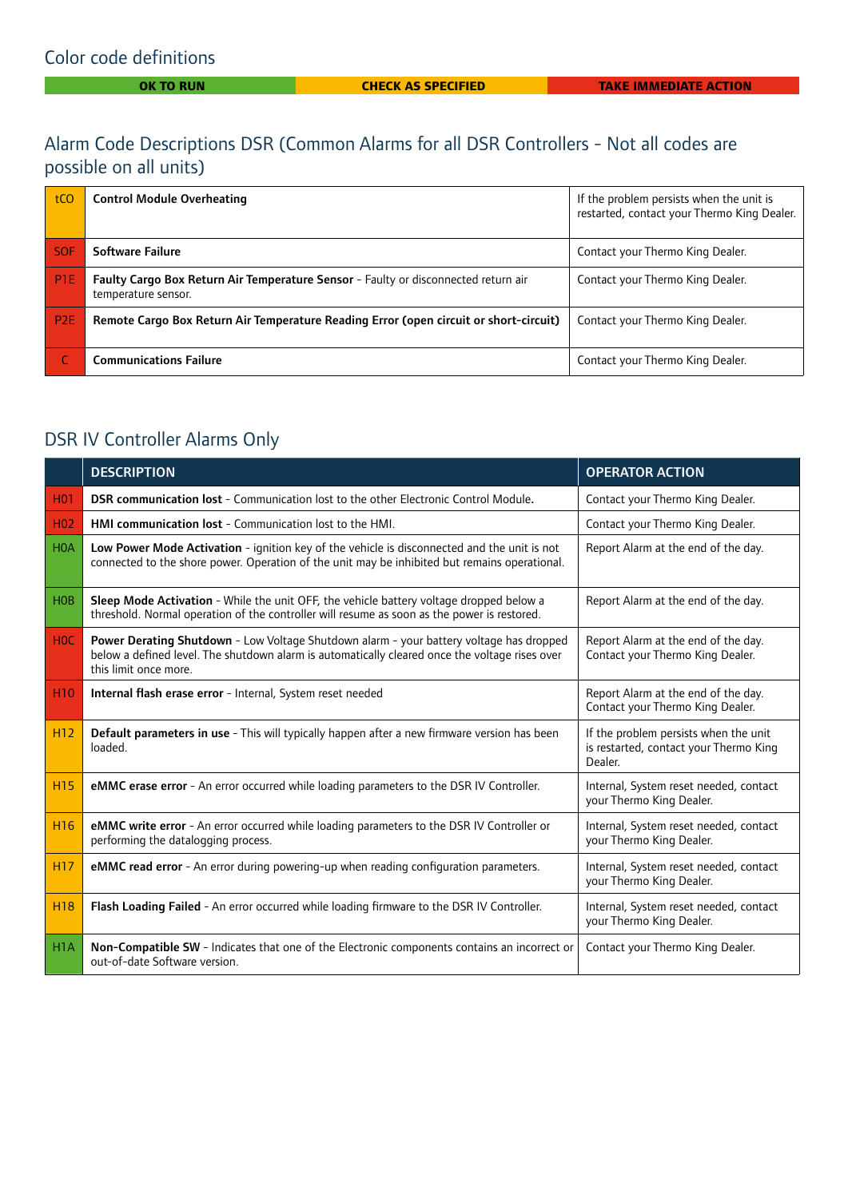#### Alarm Code Descriptions DSR (Common Alarms for all DSR Controllers - Not all codes are possible on all units)

| tCO             | <b>Control Module Overheating</b>                                                                         | If the problem persists when the unit is<br>restarted, contact your Thermo King Dealer. |
|-----------------|-----------------------------------------------------------------------------------------------------------|-----------------------------------------------------------------------------------------|
| <b>SOF</b>      | Software Failure                                                                                          | Contact your Thermo King Dealer.                                                        |
| P <sub>1E</sub> | Faulty Cargo Box Return Air Temperature Sensor - Faulty or disconnected return air<br>temperature sensor. | Contact your Thermo King Dealer.                                                        |
| P <sub>2E</sub> | Remote Cargo Box Return Air Temperature Reading Error (open circuit or short-circuit)                     | Contact your Thermo King Dealer.                                                        |
|                 | <b>Communications Failure</b>                                                                             | Contact your Thermo King Dealer.                                                        |

### DSR IV Controller Alarms Only

|                  | <b>DESCRIPTION</b>                                                                                                                                                                                                 | <b>OPERATOR ACTION</b>                                                                     |
|------------------|--------------------------------------------------------------------------------------------------------------------------------------------------------------------------------------------------------------------|--------------------------------------------------------------------------------------------|
| H <sub>0</sub> 1 | <b>DSR communication lost</b> - Communication lost to the other Electronic Control Module.                                                                                                                         | Contact your Thermo King Dealer.                                                           |
| H <sub>02</sub>  | HMI communication lost - Communication lost to the HMI.                                                                                                                                                            | Contact your Thermo King Dealer.                                                           |
| <b>HOA</b>       | Low Power Mode Activation - ignition key of the vehicle is disconnected and the unit is not<br>connected to the shore power. Operation of the unit may be inhibited but remains operational.                       | Report Alarm at the end of the day.                                                        |
| <b>HOB</b>       | Sleep Mode Activation - While the unit OFF, the vehicle battery voltage dropped below a<br>threshold. Normal operation of the controller will resume as soon as the power is restored.                             | Report Alarm at the end of the day.                                                        |
| H <sub>0</sub> C | Power Derating Shutdown - Low Voltage Shutdown alarm - your battery voltage has dropped<br>below a defined level. The shutdown alarm is automatically cleared once the voltage rises over<br>this limit once more. | Report Alarm at the end of the day.<br>Contact your Thermo King Dealer.                    |
| <b>H10</b>       | Internal flash erase error - Internal, System reset needed                                                                                                                                                         | Report Alarm at the end of the day.<br>Contact your Thermo King Dealer.                    |
| H <sub>12</sub>  | Default parameters in use - This will typically happen after a new firmware version has been<br>loaded.                                                                                                            | If the problem persists when the unit<br>is restarted, contact your Thermo King<br>Dealer. |
| <b>H15</b>       | eMMC erase error - An error occurred while loading parameters to the DSR IV Controller.                                                                                                                            | Internal, System reset needed, contact<br>your Thermo King Dealer.                         |
| <b>H16</b>       | eMMC write error - An error occurred while loading parameters to the DSR IV Controller or<br>performing the datalogging process.                                                                                   | Internal, System reset needed, contact<br>your Thermo King Dealer.                         |
| H <sub>17</sub>  | eMMC read error - An error during powering-up when reading configuration parameters.                                                                                                                               | Internal, System reset needed, contact<br>your Thermo King Dealer.                         |
| <b>H18</b>       | Flash Loading Failed - An error occurred while loading firmware to the DSR IV Controller.                                                                                                                          | Internal, System reset needed, contact<br>your Thermo King Dealer.                         |
| H <sub>1</sub> A | Non-Compatible SW - Indicates that one of the Electronic components contains an incorrect or<br>out-of-date Software version.                                                                                      | Contact your Thermo King Dealer.                                                           |